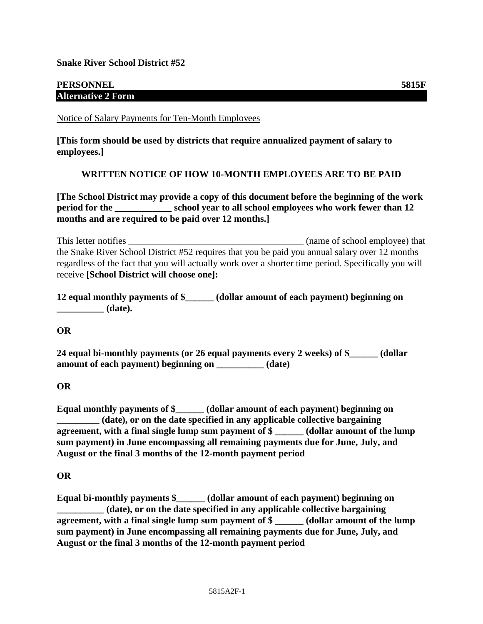**Snake River School District #52**

## **PERSONNEL 5815F Alternative 2 Form**

Notice of Salary Payments for Ten-Month Employees

**[This form should be used by districts that require annualized payment of salary to employees.]**

## **WRITTEN NOTICE OF HOW 10-MONTH EMPLOYEES ARE TO BE PAID**

**[The School District may provide a copy of this document before the beginning of the work period for the \_\_\_\_\_\_\_\_\_\_\_\_ school year to all school employees who work fewer than 12 months and are required to be paid over 12 months.]**

This letter notifies \_\_\_\_\_\_\_\_\_\_\_\_\_\_\_\_\_\_\_\_\_\_\_\_\_\_\_\_\_\_\_\_\_\_\_\_\_ (name of school employee) that the Snake River School District #52 requires that you be paid you annual salary over 12 months regardless of the fact that you will actually work over a shorter time period. Specifically you will receive **[School District will choose one]:**

**12 equal monthly payments of \$\_\_\_\_\_\_ (dollar amount of each payment) beginning on \_\_\_\_\_\_\_\_\_\_ (date).**

**OR**

**24 equal bi-monthly payments (or 26 equal payments every 2 weeks) of \$\_\_\_\_\_\_ (dollar amount of each payment) beginning on \_\_\_\_\_\_\_\_\_\_ (date)**

**OR**

**Equal monthly payments of \$\_\_\_\_\_\_ (dollar amount of each payment) beginning on \_\_\_\_\_\_\_\_\_ (date), or on the date specified in any applicable collective bargaining agreement, with a final single lump sum payment of \$ \_\_\_\_\_\_ (dollar amount of the lump sum payment) in June encompassing all remaining payments due for June, July, and August or the final 3 months of the 12-month payment period**

**OR**

**Equal bi-monthly payments \$\_\_\_\_\_\_ (dollar amount of each payment) beginning on \_\_\_\_\_\_\_\_\_\_ (date), or on the date specified in any applicable collective bargaining agreement, with a final single lump sum payment of \$ \_\_\_\_\_\_ (dollar amount of the lump sum payment) in June encompassing all remaining payments due for June, July, and August or the final 3 months of the 12-month payment period**